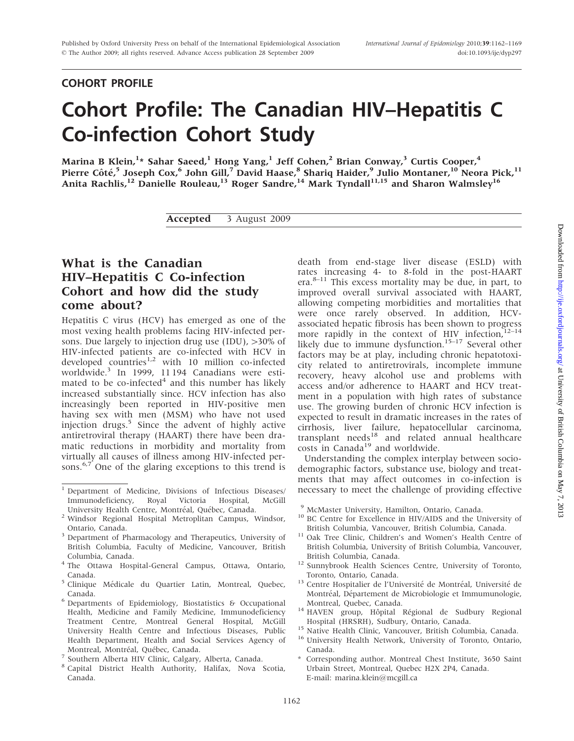### COHORT PROFILE

# Cohort Profile: The Canadian HIV–Hepatitis C Co-infection Cohort Study

Marina B Klein,<sup>1</sup>\* Sahar Saeed,<sup>1</sup> Hong Yang,<sup>1</sup> Jeff Cohen,<sup>2</sup> Brian Conway,<sup>3</sup> Curtis Cooper,<sup>4</sup> Pierre Côté,<sup>5</sup> Joseph Cox,<sup>6</sup> John Gill,<sup>7</sup> David Haase,<sup>8</sup> Shariq Haider,<sup>9</sup> Julio Montaner,<sup>10</sup> Neora Pick,<sup>11</sup> Anita Rachlis,<sup>12</sup> Danielle Rouleau,<sup>13</sup> Roger Sandre,<sup>14</sup> Mark Tyndall<sup>11,15</sup> and Sharon Walmsley<sup>16</sup>

Accepted 3 August 2009

# What is the Canadian HIV–Hepatitis C Co-infection Cohort and how did the study come about?

Hepatitis C virus (HCV) has emerged as one of the most vexing health problems facing HIV-infected persons. Due largely to injection drug use  $(IDU)$ ,  $>30\%$  of HIV-infected patients are co-infected with HCV in developed countries<sup>1,2</sup> with 10 million co-infected worldwide.<sup>3</sup> In 1999, 11 194 Canadians were estimated to be co-infected $4$  and this number has likely increased substantially since. HCV infection has also increasingly been reported in HIV-positive men having sex with men (MSM) who have not used injection drugs.<sup>5</sup> Since the advent of highly active antiretroviral therapy (HAART) there have been dramatic reductions in morbidity and mortality from virtually all causes of illness among HIV-infected persons. $6.7$  One of the glaring exceptions to this trend is

- $^5$  Clinique Médicale du Quartier Latin, Montreal, Quebec,  $\,$
- Canada.<br><sup>6</sup> Departments of Epidemiology, Biostatistics & Occupational Health, Medicine and Family Medicine, Immunodeficiency Treatment Centre, Montreal General Hospital, McGill University Health Centre and Infectious Diseases, Public Health Department, Health and Social Services Agency of
- 

death from end-stage liver disease (ESLD) with rates increasing 4- to 8-fold in the post-HAART era. $8-11$  This excess mortality may be due, in part, to improved overall survival associated with HAART, allowing competing morbidities and mortalities that were once rarely observed. In addition, HCVassociated hepatic fibrosis has been shown to progress more rapidly in the context of HIV infection, $12-14$ likely due to immune dysfunction.<sup>15–17</sup> Several other factors may be at play, including chronic hepatotoxicity related to antiretrovirals, incomplete immune recovery, heavy alcohol use and problems with access and/or adherence to HAART and HCV treatment in a population with high rates of substance use. The growing burden of chronic HCV infection is expected to result in dramatic increases in the rates of cirrhosis, liver failure, hepatocellular carcinoma, transplant needs $18$  and related annual healthcare costs in Canada<sup>19</sup> and worldwide.

Understanding the complex interplay between sociodemographic factors, substance use, biology and treatments that may affect outcomes in co-infection is necessary to meet the challenge of providing effective

- $9$  McMaster University, Hamilton, Ontario, Canada.<br><sup>10</sup> BC Centre for Excellence in HIV/AIDS and the University of
- British Columbia, Vancouver, British Columbia, Canada.  $11$  Oak Tree Clinic, Children's and Women's Health Centre of British Columbia, University of British Columbia, Vancouver,
- <sup>12</sup> Sunnybrook Health Sciences Centre, University of Toronto,
- Toronto, Ontario, Canada.<br><sup>13</sup> Centre Hospitalier de l'Université de Montréal, Université de Montréal, Département de Microbiologie et Immumunologie,
- Montreal, Quebec, Canada.<br><sup>14</sup> HAVEN group, Hôpital Régional de Sudbury Regional
- Hospital (HRSRH), Sudbury, Ontario, Canada. <sup>15</sup> Native Health Clinic, Vancouver, British Columbia, Canada. <sup>16</sup> University Health Network, University of Toronto, Ontario,
- \* Corresponding author. Montreal Chest Institute, 3650 Saint Urbain Street, Montreal, Quebec H2X 2P4, Canada. E-mail: marina.klein@mcgill.ca Canada.

<sup>1</sup> Department of Medicine, Divisions of Infectious Diseases/ Immunodeficiency, Royal Victoria Hospital, McGill

University Health Centre, Montréal, Québec, Canada. $^{\rm 2}$  Windsor Regional Hospital Metroplitan Campus, Windsor,

Ontario, Canada. <sup>3</sup> Department of Pharmacology and Therapeutics, University of British Columbia, Faculty of Medicine, Vancouver, British

 $4$  The Ottawa Hospital-General Campus, Ottawa, Ontario,

<sup>&</sup>lt;sup>7</sup> Southern Alberta HIV Clinic, Calgary, Alberta, Canada. 8 Capital District Health Authority, Halifax, Nova Scotia, Canada.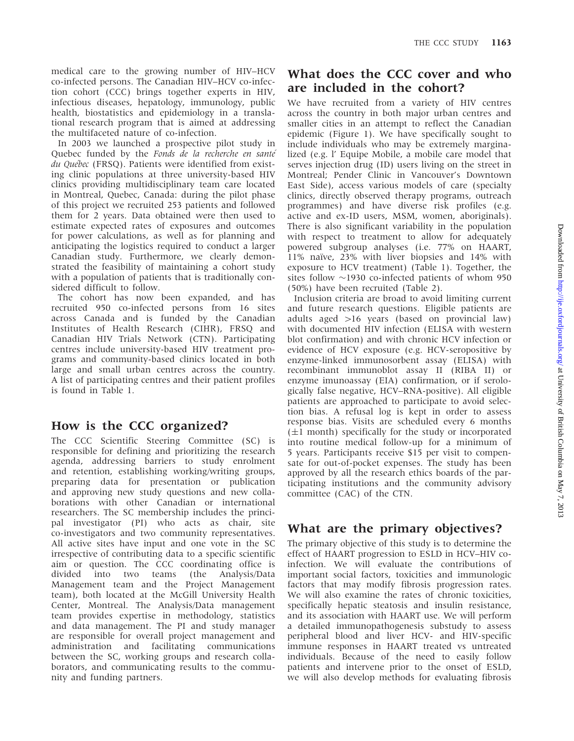medical care to the growing number of HIV–HCV co-infected persons. The Canadian HIV–HCV co-infection cohort (CCC) brings together experts in HIV, infectious diseases, hepatology, immunology, public health, biostatistics and epidemiology in a translational research program that is aimed at addressing the multifaceted nature of co-infection.

In 2003 we launched a prospective pilot study in Quebec funded by the Fonds de la recherche en santé du Québec (FRSQ). Patients were identified from existing clinic populations at three university-based HIV clinics providing multidisciplinary team care located in Montreal, Quebec, Canada: during the pilot phase of this project we recruited 253 patients and followed them for 2 years. Data obtained were then used to estimate expected rates of exposures and outcomes for power calculations, as well as for planning and anticipating the logistics required to conduct a larger Canadian study. Furthermore, we clearly demonstrated the feasibility of maintaining a cohort study with a population of patients that is traditionally considered difficult to follow.

The cohort has now been expanded, and has recruited 950 co-infected persons from 16 sites across Canada and is funded by the Canadian Institutes of Health Research (CIHR), FRSQ and Canadian HIV Trials Network (CTN). Participating centres include university-based HIV treatment programs and community-based clinics located in both large and small urban centres across the country. A list of participating centres and their patient profiles is found in Table 1.

# How is the CCC organized?

The CCC Scientific Steering Committee (SC) is responsible for defining and prioritizing the research agenda, addressing barriers to study enrolment and retention, establishing working/writing groups, preparing data for presentation or publication and approving new study questions and new collaborations with other Canadian or international researchers. The SC membership includes the principal investigator (PI) who acts as chair, site co-investigators and two community representatives. All active sites have input and one vote in the SC irrespective of contributing data to a specific scientific aim or question. The CCC coordinating office is divided into two teams (the Analysis/Data Management team and the Project Management team), both located at the McGill University Health Center, Montreal. The Analysis/Data management team provides expertise in methodology, statistics and data management. The PI and study manager are responsible for overall project management and administration and facilitating communications between the SC, working groups and research collaborators, and communicating results to the community and funding partners.

# What does the CCC cover and who are included in the cohort?

We have recruited from a variety of HIV centres across the country in both major urban centres and smaller cities in an attempt to reflect the Canadian epidemic (Figure 1). We have specifically sought to include individuals who may be extremely marginalized (e.g. l' Equipe Mobile, a mobile care model that serves injection drug (ID) users living on the street in Montreal; Pender Clinic in Vancouver's Downtown East Side), access various models of care (specialty clinics, directly observed therapy programs, outreach programmes) and have diverse risk profiles (e.g. active and ex-ID users, MSM, women, aboriginals). There is also significant variability in the population with respect to treatment to allow for adequately powered subgroup analyses (i.e. 77% on HAART, 11% naïve, 23% with liver biopsies and 14% with exposure to HCV treatment) (Table 1). Together, the sites follow  $\sim$ 1930 co-infected patients of whom 950 (50%) have been recruited (Table 2).

Inclusion criteria are broad to avoid limiting current and future research questions. Eligible patients are adults aged  $>16$  years (based on provincial law) with documented HIV infection (ELISA with western blot confirmation) and with chronic HCV infection or evidence of HCV exposure (e.g. HCV-seropositive by enzyme-linked immunosorbent assay (ELISA) with recombinant immunoblot assay II (RIBA II) or enzyme imunoassay (EIA) confirmation, or if serologically false negative, HCV–RNA-positive). All eligible patients are approached to participate to avoid selection bias. A refusal log is kept in order to assess response bias. Visits are scheduled every 6 months  $(\pm 1 \text{ month})$  specifically for the study or incorporated into routine medical follow-up for a minimum of 5 years. Participants receive \$15 per visit to compensate for out-of-pocket expenses. The study has been approved by all the research ethics boards of the participating institutions and the community advisory committee (CAC) of the CTN.

# What are the primary objectives?

The primary objective of this study is to determine the effect of HAART progression to ESLD in HCV–HIV coinfection. We will evaluate the contributions of important social factors, toxicities and immunologic factors that may modify fibrosis progression rates. We will also examine the rates of chronic toxicities, specifically hepatic steatosis and insulin resistance, and its association with HAART use. We will perform a detailed immunopathogenesis substudy to assess peripheral blood and liver HCV- and HIV-specific immune responses in HAART treated vs untreated individuals. Because of the need to easily follow patients and intervene prior to the onset of ESLD, we will also develop methods for evaluating fibrosis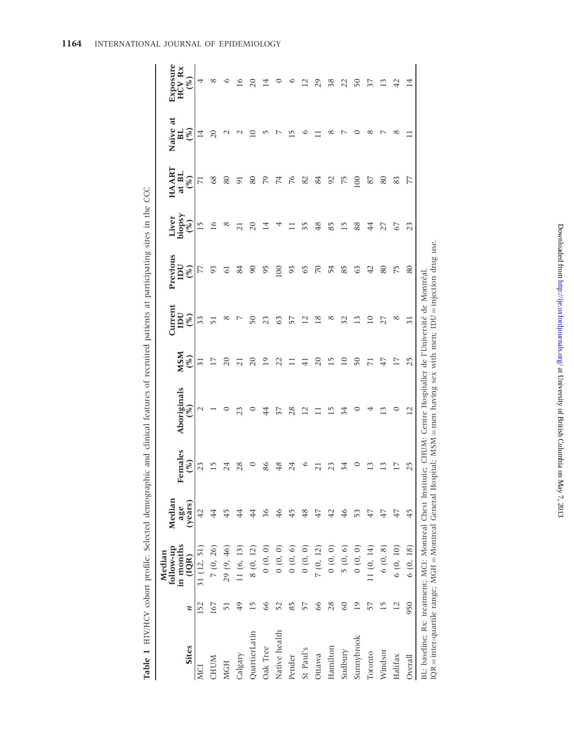|                                                                                                                                                                                                                                          |                 | in months<br>follow-up<br>Median | Median<br>age | Females         | Aboriginals    | <b>MSM</b>      | Current<br>DU  | Previous<br>DU             | biopsy<br>Liver | <b>HAART</b><br>at BL | Naïve at<br>$\Xi$ | Exposure<br>HCV Rx   |
|------------------------------------------------------------------------------------------------------------------------------------------------------------------------------------------------------------------------------------------|-----------------|----------------------------------|---------------|-----------------|----------------|-----------------|----------------|----------------------------|-----------------|-----------------------|-------------------|----------------------|
| <b>Sites</b>                                                                                                                                                                                                                             |                 | (1QR)                            | (vears)       | $\binom{96}{6}$ | ୖୄ             | (%)             | $(\%)$         | $(\%)$                     | $(\%)$          | (%)                   | $(\%)$            | $(\%)$               |
| MCI                                                                                                                                                                                                                                      | 152             | 31 (12, 51)                      | 42            |                 |                | $\overline{31}$ |                |                            | r               |                       |                   |                      |
| <b>CHUM</b>                                                                                                                                                                                                                              | 167             | 7(0, 26)                         | 4             |                 |                |                 |                |                            | $\overline{16}$ | 68                    |                   |                      |
| <b>MGH</b>                                                                                                                                                                                                                               | 51              | 29(9, 46)                        |               |                 |                |                 |                |                            |                 | 80                    |                   |                      |
| Calgary                                                                                                                                                                                                                                  | 49              | 11(6, 13)                        | 4             | 28              |                |                 |                | 84                         |                 | $\overline{5}$        |                   | ≗                    |
| QuartierLatin                                                                                                                                                                                                                            | $\overline{15}$ | 8(0, 12)                         | 4             |                 |                |                 | 50             | $\boldsymbol{\mathcal{S}}$ |                 | 80                    |                   |                      |
| Oak Tree                                                                                                                                                                                                                                 | 66              | 0(0, 0)                          | 36            | 86              |                |                 |                | 95                         | 4               | 20                    |                   | 4                    |
| Native health                                                                                                                                                                                                                            | 52              | (0, 0)                           | 46            | 48              |                |                 | 63             | 100                        |                 | 74                    |                   |                      |
| Pender                                                                                                                                                                                                                                   | 85              | 0(0, 6)                          | 45            | 24              | 28             |                 | 57             | 93                         |                 | 76                    |                   |                      |
| St Paul's                                                                                                                                                                                                                                | 57              | 0(0, 0)                          | $^{48}$       |                 |                |                 | $\overline{2}$ | 65                         | ᠅               | 82                    |                   |                      |
| Ottawa                                                                                                                                                                                                                                   | 66              | 7(0, 12)                         | 47            |                 |                |                 | $\frac{8}{2}$  | 70                         |                 | 84                    |                   | 29                   |
| Hamilton                                                                                                                                                                                                                                 | 28              | (0, 0, 0)                        | 42            |                 |                | $\overline{15}$ | ∞              | 54                         | 85              | $\overline{6}$        |                   | 38                   |
| Sudbury                                                                                                                                                                                                                                  | 60              | 5(0, 6)                          | 46            | 34              |                |                 |                | 85                         | $\overline{15}$ | 75                    |                   | $\overline{c}$       |
| Sunnybrook                                                                                                                                                                                                                               | $\overline{19}$ | (0, 0)                           | 53            |                 |                | 50              |                | 63                         | 88              | $^{100}$              |                   | 50                   |
| Toronto                                                                                                                                                                                                                                  | 57              | 11(0, 14)                        | 47            |                 |                |                 | $\supseteq$    | 42                         | 4               | 87                    |                   | 37                   |
| Windsor                                                                                                                                                                                                                                  | $\overline{15}$ | 6(0, 8)                          | 47            |                 |                | 47              | 27             | 80                         | 27              | 80                    |                   | $\tilde{\mathbf{1}}$ |
| Halifax                                                                                                                                                                                                                                  | $\overline{12}$ | 6(0, 10)                         | 47            |                 | ⊂              | $\overline{17}$ | ∞              | 75                         | 67              | 83                    |                   | 42                   |
| Overall                                                                                                                                                                                                                                  | 950             | 6(0, 18)                         | 45            | 25              | $\overline{c}$ | 25              | $\overline{5}$ | 80                         |                 | 77                    |                   | 4                    |
| IQR = inter-quartile range; MGH = Montreal General Hospital; MSM = men having sex with men; IDU = injection drug use<br>BL: baseline; Rx: treatment; MCI: Montreal Chest Institute; CHUM: Centre Hospitalier de l'Université de Montréal |                 |                                  |               |                 |                |                 |                |                            |                 |                       |                   |                      |

| l<br>J<br>I<br>J<br>J                               |  |
|-----------------------------------------------------|--|
| 111                                                 |  |
|                                                     |  |
| na citac in                                         |  |
| j<br>ł<br>.<br>;<br>:<br>;<br>ì                     |  |
|                                                     |  |
|                                                     |  |
| ⋾<br>;<br>1                                         |  |
| ۱,<br>l                                             |  |
| Ĭ<br>֧֚֚֚֚֚֚֚֚֚֚֚֚֚֚֚֝֝֝֓֕֓֝֓֬֝֓ <b>֓</b><br>i<br>l |  |
| با امینیاد د<br>į                                   |  |
| i<br>nic an                                         |  |
| Country of Country and<br>١<br>i<br>)<br>١          |  |
| ł<br>j<br>j                                         |  |
| .<br>داټې<br>j<br>í<br>ś<br>i<br>F                  |  |
| i<br>5<br>į<br>ξ<br>J                               |  |
|                                                     |  |
| 计分析 医骨骨                                             |  |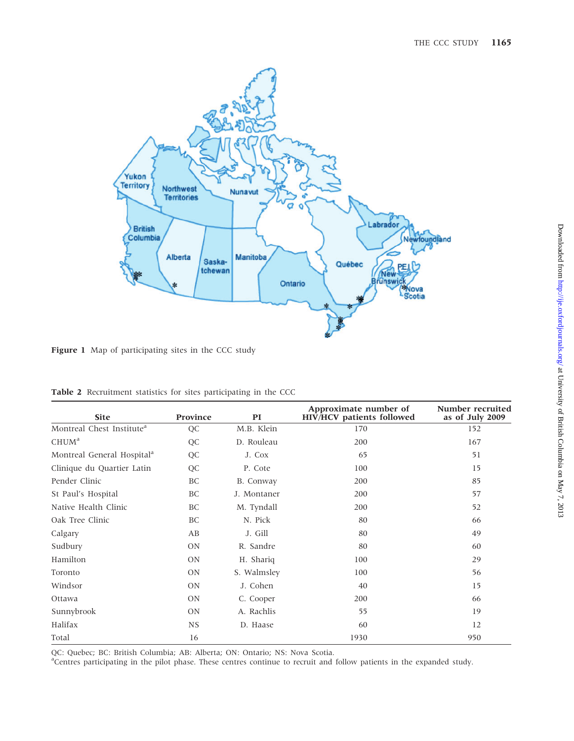

Figure 1 Map of participating sites in the CCC study

|  | <b>Table 2</b> Recruitment statistics for sites participating in the CCC |  |  |  |  |  |  |  |
|--|--------------------------------------------------------------------------|--|--|--|--|--|--|--|
|--|--------------------------------------------------------------------------|--|--|--|--|--|--|--|

| <b>Site</b>                            | Province  | PI          | Approximate number of<br>HIV/HCV patients followed | Number recruited<br>as of July 2009 |
|----------------------------------------|-----------|-------------|----------------------------------------------------|-------------------------------------|
| Montreal Chest Institute <sup>a</sup>  | QC        | M.B. Klein  | 170                                                | 152                                 |
| CHUM <sup>a</sup>                      | QC        | D. Rouleau  | 200                                                | 167                                 |
| Montreal General Hospital <sup>a</sup> | QC        | J. Cox      | 65                                                 | 51                                  |
| Clinique du Quartier Latin             | QC        | P. Cote     | 100                                                | 15                                  |
| Pender Clinic                          | BC        | B. Conway   | 200                                                | 85                                  |
| St Paul's Hospital                     | BC        | J. Montaner | 200                                                | 57                                  |
| Native Health Clinic                   | <b>BC</b> | M. Tyndall  | 200                                                | 52                                  |
| Oak Tree Clinic                        | <b>BC</b> | N. Pick     | 80                                                 | 66                                  |
| Calgary                                | AB        | J. Gill     | 80                                                 | 49                                  |
| Sudbury                                | <b>ON</b> | R. Sandre   | 80                                                 | 60                                  |
| Hamilton                               | <b>ON</b> | H. Shariq   | 100                                                | 29                                  |
| Toronto                                | <b>ON</b> | S. Walmsley | 100                                                | 56                                  |
| Windsor                                | <b>ON</b> | J. Cohen    | 40                                                 | 15                                  |
| Ottawa                                 | <b>ON</b> | C. Cooper   | 200                                                | 66                                  |
| Sunnybrook                             | <b>ON</b> | A. Rachlis  | 55                                                 | 19                                  |
| Halifax                                | <b>NS</b> | D. Haase    | 60                                                 | 12                                  |
| Total                                  | 16        |             | 1930                                               | 950                                 |

QC: Quebec; BC: British Columbia; AB: Alberta; ON: Ontario; NS: Nova Scotia.

a Centres participating in the pilot phase. These centres continue to recruit and follow patients in the expanded study.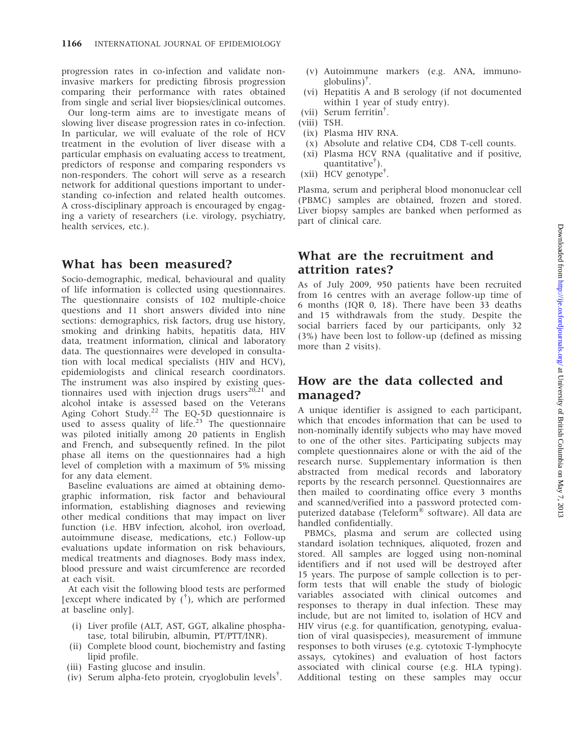progression rates in co-infection and validate noninvasive markers for predicting fibrosis progression comparing their performance with rates obtained from single and serial liver biopsies/clinical outcomes.

Our long-term aims are to investigate means of slowing liver disease progression rates in co-infection. In particular, we will evaluate of the role of HCV treatment in the evolution of liver disease with a particular emphasis on evaluating access to treatment, predictors of response and comparing responders vs non-responders. The cohort will serve as a research network for additional questions important to understanding co-infection and related health outcomes. A cross-disciplinary approach is encouraged by engaging a variety of researchers (i.e. virology, psychiatry, health services, etc.).

### What has been measured?

Socio-demographic, medical, behavioural and quality of life information is collected using questionnaires. The questionnaire consists of 102 multiple-choice questions and 11 short answers divided into nine sections: demographics, risk factors, drug use history, smoking and drinking habits, hepatitis data, HIV data, treatment information, clinical and laboratory data. The questionnaires were developed in consultation with local medical specialists (HIV and HCV), epidemiologists and clinical research coordinators. The instrument was also inspired by existing questionnaires used with injection drugs users $2^{0.21}$  and alcohol intake is assessed based on the Veterans Aging Cohort Study.<sup>22</sup> The EQ-5D questionnaire is used to assess quality of life.<sup>23</sup> The questionnaire was piloted initially among 20 patients in English and French, and subsequently refined. In the pilot phase all items on the questionnaires had a high level of completion with a maximum of 5% missing for any data element.

Baseline evaluations are aimed at obtaining demographic information, risk factor and behavioural information, establishing diagnoses and reviewing other medical conditions that may impact on liver function (i.e. HBV infection, alcohol, iron overload, autoimmune disease, medications, etc.) Follow-up evaluations update information on risk behaviours, medical treatments and diagnoses. Body mass index, blood pressure and waist circumference are recorded at each visit.

At each visit the following blood tests are performed [except where indicated by  $(\dagger)$ , which are performed at baseline only].

- (i) Liver profile (ALT, AST, GGT, alkaline phosphatase, total bilirubin, albumin, PT/PTT/INR).
- (ii) Complete blood count, biochemistry and fasting lipid profile.
- (iii) Fasting glucose and insulin.
- (iv) Serum alpha-feto protein, cryoglobulin levels<sup>†</sup>.
- (v) Autoimmune markers (e.g. ANA, immuno- $\text{globulins}\$ <sup>†</sup>.
- (vi) Hepatitis A and B serology (if not documented within 1 year of study entry).
- (vii) Serum ferritin<sup>†</sup>.
- (viii) TSH.
	- (ix) Plasma HIV RNA.
	- (x) Absolute and relative CD4, CD8 T-cell counts.
- (xi) Plasma HCV RNA (qualitative and if positive, quantitative<sup>†</sup>).
- $(xii)$  HCV genotype<sup>†</sup>.

Plasma, serum and peripheral blood mononuclear cell (PBMC) samples are obtained, frozen and stored. Liver biopsy samples are banked when performed as part of clinical care.

# What are the recruitment and attrition rates?

As of July 2009, 950 patients have been recruited from 16 centres with an average follow-up time of 6 months (IQR 0, 18). There have been 33 deaths and 15 withdrawals from the study. Despite the social barriers faced by our participants, only 32 (3%) have been lost to follow-up (defined as missing more than 2 visits).

### How are the data collected and managed?

A unique identifier is assigned to each participant, which that encodes information that can be used to non-nominally identify subjects who may have moved to one of the other sites. Participating subjects may complete questionnaires alone or with the aid of the research nurse. Supplementary information is then abstracted from medical records and laboratory reports by the research personnel. Questionnaires are then mailed to coordinating office every 3 months and scanned/verified into a password protected computerized database (Teleform $^{\circledR}$  software). All data are handled confidentially.

PBMCs, plasma and serum are collected using standard isolation techniques, aliquoted, frozen and stored. All samples are logged using non-nominal identifiers and if not used will be destroyed after 15 years. The purpose of sample collection is to perform tests that will enable the study of biologic variables associated with clinical outcomes and responses to therapy in dual infection. These may include, but are not limited to, isolation of HCV and HIV virus (e.g. for quantification, genotyping, evaluation of viral quasispecies), measurement of immune responses to both viruses (e.g. cytotoxic T-lymphocyte assays, cytokines) and evaluation of host factors associated with clinical course (e.g. HLA typing). Additional testing on these samples may occur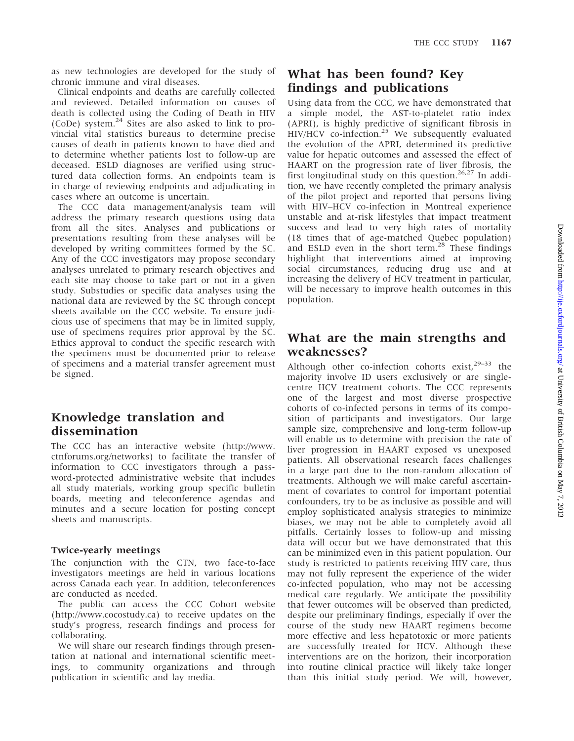as new technologies are developed for the study of chronic immune and viral diseases.

Clinical endpoints and deaths are carefully collected and reviewed. Detailed information on causes of death is collected using the Coding of Death in HIV (CoDe) system. $^{24}$  Sites are also asked to link to provincial vital statistics bureaus to determine precise causes of death in patients known to have died and to determine whether patients lost to follow-up are deceased. ESLD diagnoses are verified using structured data collection forms. An endpoints team is in charge of reviewing endpoints and adjudicating in cases where an outcome is uncertain.

The CCC data management/analysis team will address the primary research questions using data from all the sites. Analyses and publications or presentations resulting from these analyses will be developed by writing committees formed by the SC. Any of the CCC investigators may propose secondary analyses unrelated to primary research objectives and each site may choose to take part or not in a given study. Substudies or specific data analyses using the national data are reviewed by the SC through concept sheets available on the CCC website. To ensure judicious use of specimens that may be in limited supply, use of specimens requires prior approval by the SC. Ethics approval to conduct the specific research with the specimens must be documented prior to release of specimens and a material transfer agreement must be signed.

### Knowledge translation and dissemination

The CCC has an interactive website (http://www. ctnforums.org/networks) to facilitate the transfer of information to CCC investigators through a password-protected administrative website that includes all study materials, working group specific bulletin boards, meeting and teleconference agendas and minutes and a secure location for posting concept sheets and manuscripts.

#### Twice-yearly meetings

The conjunction with the CTN, two face-to-face investigators meetings are held in various locations across Canada each year. In addition, teleconferences are conducted as needed.

The public can access the CCC Cohort website (http://www.cocostudy.ca) to receive updates on the study's progress, research findings and process for collaborating.

We will share our research findings through presentation at national and international scientific meetings, to community organizations and through publication in scientific and lay media.

# What has been found? Key findings and publications

Using data from the CCC, we have demonstrated that a simple model, the AST-to-platelet ratio index (APRI), is highly predictive of significant fibrosis in HIV/HCV co-infection.<sup>25</sup> We subsequently evaluated the evolution of the APRI, determined its predictive value for hepatic outcomes and assessed the effect of HAART on the progression rate of liver fibrosis, the first longitudinal study on this question. $26.27$  In addition, we have recently completed the primary analysis of the pilot project and reported that persons living with HIV–HCV co-infection in Montreal experience unstable and at-risk lifestyles that impact treatment success and lead to very high rates of mortality (18 times that of age-matched Quebec population) and ESLD even in the short term. $^{28}$  These findings highlight that interventions aimed at improving social circumstances, reducing drug use and at increasing the delivery of HCV treatment in particular, will be necessary to improve health outcomes in this population.

# What are the main strengths and weaknesses?

Although other co-infection cohorts exist,  $29-33$  the majority involve ID users exclusively or are singlecentre HCV treatment cohorts. The CCC represents one of the largest and most diverse prospective cohorts of co-infected persons in terms of its composition of participants and investigators. Our large sample size, comprehensive and long-term follow-up will enable us to determine with precision the rate of liver progression in HAART exposed vs unexposed patients. All observational research faces challenges in a large part due to the non-random allocation of treatments. Although we will make careful ascertainment of covariates to control for important potential confounders, try to be as inclusive as possible and will employ sophisticated analysis strategies to minimize biases, we may not be able to completely avoid all pitfalls. Certainly losses to follow-up and missing data will occur but we have demonstrated that this can be minimized even in this patient population. Our study is restricted to patients receiving HIV care, thus may not fully represent the experience of the wider co-infected population, who may not be accessing medical care regularly. We anticipate the possibility that fewer outcomes will be observed than predicted, despite our preliminary findings, especially if over the course of the study new HAART regimens become more effective and less hepatotoxic or more patients are successfully treated for HCV. Although these interventions are on the horizon, their incorporation into routine clinical practice will likely take longer than this initial study period. We will, however,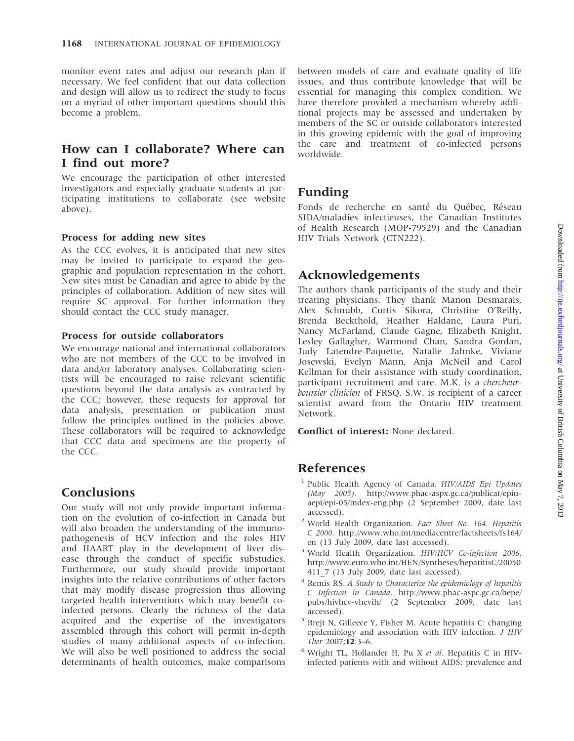monitor event rates and adjust our research plan if necessary. We feel confident that our data collection and design will allow us to redirect the study to focus on a myriad of other important questions should this become a problem.

### How can I collaborate? Where can I find out more?

We encourage the participation of other interested investigators and especially graduate students at participating institutions to collaborate (see website above).

#### Process for adding new sites

As the CCC evolves, it is anticipated that new sites may be invited to participate to expand the geographic and population representation in the cohort. New sites must be Canadian and agree to abide by the principles of collaboration. Addition of new sites will require SC approval. For further information they should contact the CCC study manager.

#### Process for outside collaborators

We encourage national and international collaborators who are not members of the CCC to be involved in data and/or laboratory analyses. Collaborating scientists will be encouraged to raise relevant scientific questions beyond the data analysis as contracted by the CCC; however, these requests for approval for data analysis, presentation or publication must follow the principles outlined in the policies above. These collaborators will be required to acknowledge that CCC data and specimens are the property of the CCC.

### **Conclusions**

Our study will not only provide important information on the evolution of co-infection in Canada but will also broaden the understanding of the immunopathogenesis of HCV infection and the roles HIV and HAART play in the development of liver disease through the conduct of specific substudies. Furthermore, our study should provide important insights into the relative contributions of other factors that may modify disease progression thus allowing targeted health interventions which may benefit coinfected persons. Clearly the richness of the data acquired and the expertise of the investigators assembled through this cohort will permit in-depth studies of many additional aspects of co-infection. We will also be well positioned to address the social determinants of health outcomes, make comparisons

between models of care and evaluate quality of life issues, and thus contribute knowledge that will be essential for managing this complex condition. We have therefore provided a mechanism whereby additional projects may be assessed and undertaken by members of the SC or outside collaborators interested in this growing epidemic with the goal of improving the care and treatment of co-infected persons worldwide.

### Funding

Fonds de recherche en santé du Québec, Réseau SIDA/maladies infectieuses, the Canadian Institutes of Health Research (MOP-79529) and the Canadian HIV Trials Network (CTN222).

# Acknowledgements

The authors thank participants of the study and their treating physicians. They thank Manon Desmarais, Alex Schnubb, Curtis Sikora, Christine O'Reilly, Brenda Beckthold, Heather Haldane, Laura Puri, Nancy McFarland, Claude Gagne, Elizabeth Knight, Lesley Gallagher, Warmond Chan, Sandra Gordan, Judy Latendre-Paquette, Natalie Jahnke, Viviane Josewski, Evelyn Mann, Anja McNeil and Carol Kellman for their assistance with study coordination, participant recruitment and care. M.K. is a *chercheur*boursier clinicien of FRSQ. S.W. is recipient of a career scientist award from the Ontario HIV treatment Network.

Conflict of interest: None declared.

### References

- <sup>1</sup> Public Health Agency of Canada. HIV/AIDS Epi Updates (May 2005). http://www.phac-aspx.gc.ca/publicat/epiuaepi/epi-05/index-eng.php (2 September 2009, date last accessed).
- <sup>2</sup> World Health Organization. Fact Sheet No. 164. Hepatitis C 2000. http://www.who.int/mediacentre/factsheets/fs164/ en (13 July 2009, date last accessed).
- <sup>3</sup> World Health Organization. HIV/HCV Co-infection 2006. http://www.euro.who.int/HEN/Syntheses/hepatitisC/20050 411 7 (13 July 2009, date last accessed).
- <sup>4</sup> Remis RS. A Study to Characterize the epidemiology of hepatitis C Infection in Canada. http://www.phac-aspc.gc.ca/hepe/ pubs/hivhcv-vhevih/ (2 September 2009, date last accessed).
- <sup>5</sup> Brejt N, Gilleece Y, Fisher M. Acute hepatitis C: changing epidemiology and association with HIV infection. J HIV Ther 2007;12:3–6.
- $6$  Wright TL, Hollander H, Pu X et al. Hepatitis C in HIVinfected patients with and without AIDS: prevalence and